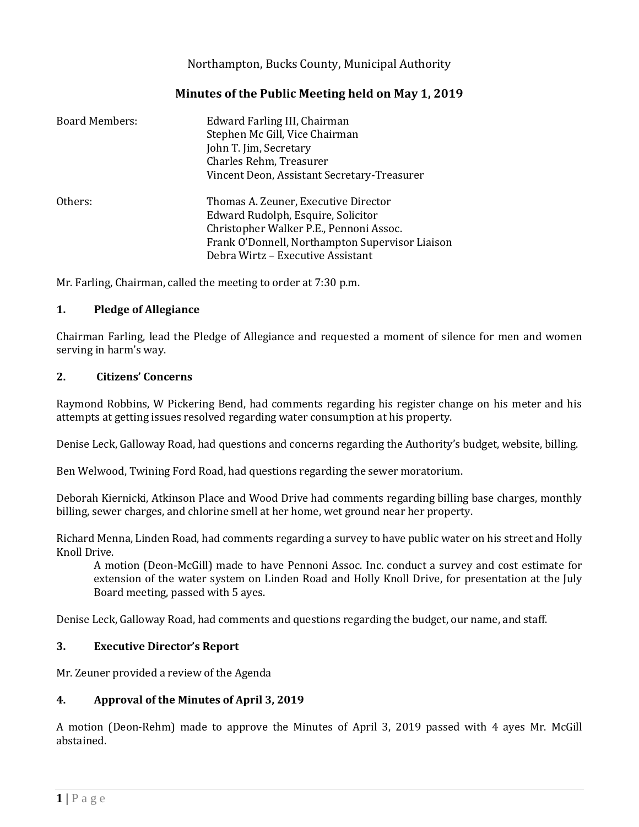## Northampton, Bucks County, Municipal Authority

## **Minutes of the Public Meeting held on May 1, 2019**

| <b>Board Members:</b> | Edward Farling III, Chairman<br>Stephen Mc Gill, Vice Chairman<br>John T. Jim, Secretary<br>Charles Rehm, Treasurer<br>Vincent Deon, Assistant Secretary-Treasurer                                            |
|-----------------------|---------------------------------------------------------------------------------------------------------------------------------------------------------------------------------------------------------------|
| Others:               | Thomas A. Zeuner, Executive Director<br>Edward Rudolph, Esquire, Solicitor<br>Christopher Walker P.E., Pennoni Assoc.<br>Frank O'Donnell, Northampton Supervisor Liaison<br>Debra Wirtz – Executive Assistant |

Mr. Farling, Chairman, called the meeting to order at 7:30 p.m.

### **1. Pledge of Allegiance**

Chairman Farling, lead the Pledge of Allegiance and requested a moment of silence for men and women serving in harm's way.

### **2. Citizens' Concerns**

Raymond Robbins, W Pickering Bend, had comments regarding his register change on his meter and his attempts at getting issues resolved regarding water consumption at his property.

Denise Leck, Galloway Road, had questions and concerns regarding the Authority's budget, website, billing.

Ben Welwood, Twining Ford Road, had questions regarding the sewer moratorium.

Deborah Kiernicki, Atkinson Place and Wood Drive had comments regarding billing base charges, monthly billing, sewer charges, and chlorine smell at her home, wet ground near her property.

Richard Menna, Linden Road, had comments regarding a survey to have public water on his street and Holly Knoll Drive.

A motion (Deon-McGill) made to have Pennoni Assoc. Inc. conduct a survey and cost estimate for extension of the water system on Linden Road and Holly Knoll Drive, for presentation at the July Board meeting, passed with 5 ayes.

Denise Leck, Galloway Road, had comments and questions regarding the budget, our name, and staff.

### **3. Executive Director's Report**

Mr. Zeuner provided a review of the Agenda

### **4. Approval of the Minutes of April 3, 2019**

A motion (Deon-Rehm) made to approve the Minutes of April 3, 2019 passed with 4 ayes Mr. McGill abstained.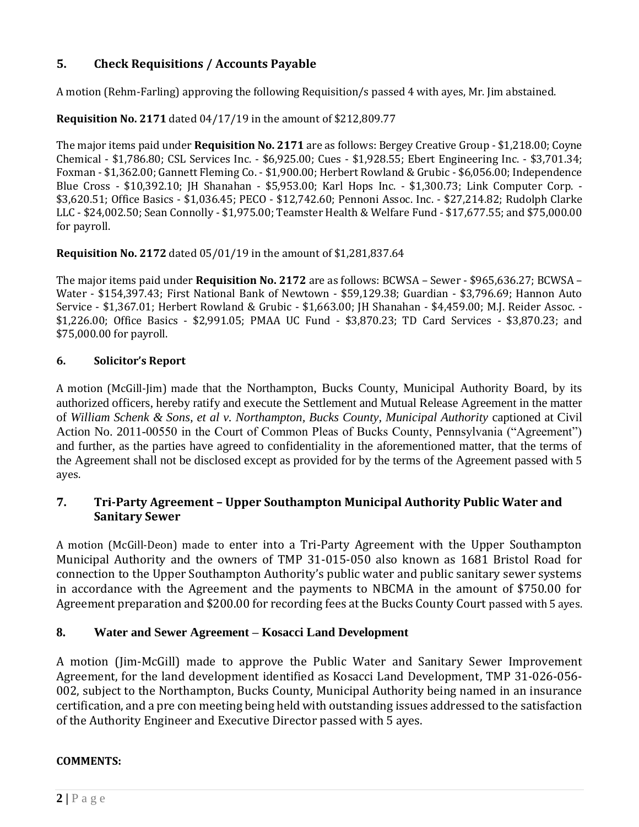# **5. Check Requisitions / Accounts Payable**

A motion (Rehm-Farling) approving the following Requisition/s passed 4 with ayes, Mr. Jim abstained.

**Requisition No. 2171** dated 04/17/19 in the amount of \$212,809.77

The major items paid under **Requisition No. 2171** are as follows: Bergey Creative Group - \$1,218.00; Coyne Chemical - \$1,786.80; CSL Services Inc. - \$6,925.00; Cues - \$1,928.55; Ebert Engineering Inc. - \$3,701.34; Foxman - \$1,362.00; Gannett Fleming Co. - \$1,900.00; Herbert Rowland & Grubic - \$6,056.00; Independence Blue Cross - \$10,392.10; JH Shanahan - \$5,953.00; Karl Hops Inc. - \$1,300.73; Link Computer Corp. - \$3,620.51; Office Basics - \$1,036.45; PECO - \$12,742.60; Pennoni Assoc. Inc. - \$27,214.82; Rudolph Clarke LLC - \$24,002.50; Sean Connolly - \$1,975.00; Teamster Health & Welfare Fund - \$17,677.55; and \$75,000.00 for payroll.

**Requisition No. 2172** dated 05/01/19 in the amount of \$1,281,837.64

The major items paid under **Requisition No. 2172** are as follows: BCWSA – Sewer - \$965,636.27; BCWSA – Water - \$154,397.43; First National Bank of Newtown - \$59,129.38; Guardian - \$3,796.69; Hannon Auto Service - \$1,367.01; Herbert Rowland & Grubic - \$1,663.00; JH Shanahan - \$4,459.00; M.J. Reider Assoc. - \$1,226.00; Office Basics - \$2,991.05; PMAA UC Fund - \$3,870.23; TD Card Services - \$3,870.23; and \$75,000.00 for payroll.

## **6. Solicitor's Report**

A motion (McGill-Jim) made that the Northampton, Bucks County, Municipal Authority Board, by its authorized officers, hereby ratify and execute the Settlement and Mutual Release Agreement in the matter of *William Schenk & Sons, et al v. Northampton, Bucks County, Municipal Authority* captioned at Civil Action No. 2011-00550 in the Court of Common Pleas of Bucks County, Pennsylvania ("Agreement") and further, as the parties have agreed to confidentiality in the aforementioned matter, that the terms of the Agreement shall not be disclosed except as provided for by the terms of the Agreement passed with 5 ayes.

# **7. Tri-Party Agreement – Upper Southampton Municipal Authority Public Water and Sanitary Sewer**

A motion (McGill-Deon) made to enter into a Tri-Party Agreement with the Upper Southampton Municipal Authority and the owners of TMP 31-015-050 also known as 1681 Bristol Road for connection to the Upper Southampton Authority's public water and public sanitary sewer systems in accordance with the Agreement and the payments to NBCMA in the amount of \$750.00 for Agreement preparation and \$200.00 for recording fees at the Bucks County Court passed with 5 ayes.

## **8. Water and Sewer Agreement – Kosacci Land Development**

A motion (Jim-McGill) made to approve the Public Water and Sanitary Sewer Improvement Agreement, for the land development identified as Kosacci Land Development, TMP 31-026-056- 002, subject to the Northampton, Bucks County, Municipal Authority being named in an insurance certification, and a pre con meeting being held with outstanding issues addressed to the satisfaction of the Authority Engineer and Executive Director passed with 5 ayes.

## **COMMENTS:**